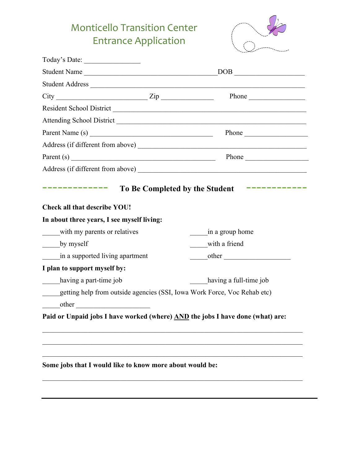# Monticello Transition Center Entrance Application



| Student Address                                                                |                                                                                                             |
|--------------------------------------------------------------------------------|-------------------------------------------------------------------------------------------------------------|
| $City$ Phone Phone                                                             |                                                                                                             |
|                                                                                |                                                                                                             |
|                                                                                |                                                                                                             |
| Parent Name (s)                                                                | Phone                                                                                                       |
|                                                                                |                                                                                                             |
| Parent(s)                                                                      | Phone                                                                                                       |
|                                                                                |                                                                                                             |
| <b>Check all that describe YOU!</b>                                            | $\sim$ 100 meV and the contract of the contract of the contract of $\sim$<br>To Be Completed by the Student |
| In about three years, I see myself living:                                     |                                                                                                             |
| with my parents or relatives                                                   | in a group home                                                                                             |
| $_{\text{by myself}}$                                                          | with a friend                                                                                               |
| in a supported living apartment                                                | other                                                                                                       |
| I plan to support myself by:                                                   |                                                                                                             |
| having a part-time job                                                         | having a full-time job                                                                                      |
| getting help from outside agencies (SSI, Iowa Work Force, Voc Rehab etc)       |                                                                                                             |
| $\overline{\phantom{iiiiiiiiiiiiiiiiiii}}$ other                               |                                                                                                             |
| Paid or Unpaid jobs I have worked (where) AND the jobs I have done (what) are: |                                                                                                             |
|                                                                                |                                                                                                             |
|                                                                                |                                                                                                             |
|                                                                                |                                                                                                             |
| Some jobs that I would like to know more about would be:                       |                                                                                                             |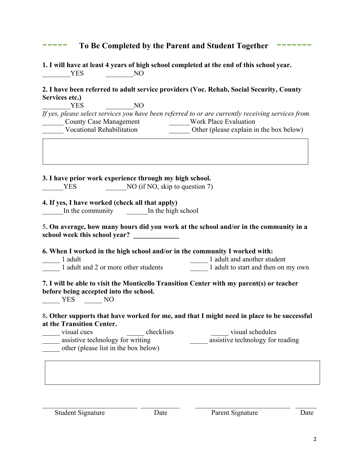| _____ | To Be Completed by the Parent and Student Together ------ |  |
|-------|-----------------------------------------------------------|--|

**1. I will have at least 4 years of high school completed at the end of this school year.** YES NO

### **2. I have been referred to adult service providers (Voc. Rehab, Social Security, County Services etc.)**

YES NO

*If yes, please select services you have been referred to or are currently receiving services from.* \_\_\_\_\_\_ County Case Management \_\_\_\_\_\_Work Place Evaluation Other (please explain in the box below)

**3. I have prior work experience through my high school.**

YES NO (if NO, skip to question 7)

# **4. If yes, I have worked (check all that apply)**

In the community The high school

### 5**. On average, how many hours did you work at the school and/or in the community in a**  school week this school year?

**6. When I worked in the high school and/or in the community I worked with:**

1 adult 1 adult 1 adult and another student

1 adult and 2 or more other students 1 adult to start and then on my own

# **7. I will be able to visit the Monticello Transition Center with my parent(s) or teacher before being accepted into the school.**

\_\_\_\_\_ YES \_\_\_\_\_ NO

#### 8**. Other supports that have worked for me, and that I might need in place to be successful at the Transition Center.**

| visual cues                          | checklists | visual schedules                 |  |
|--------------------------------------|------------|----------------------------------|--|
| assistive technology for writing     |            | assistive technology for reading |  |
| other (please list in the box below) |            |                                  |  |